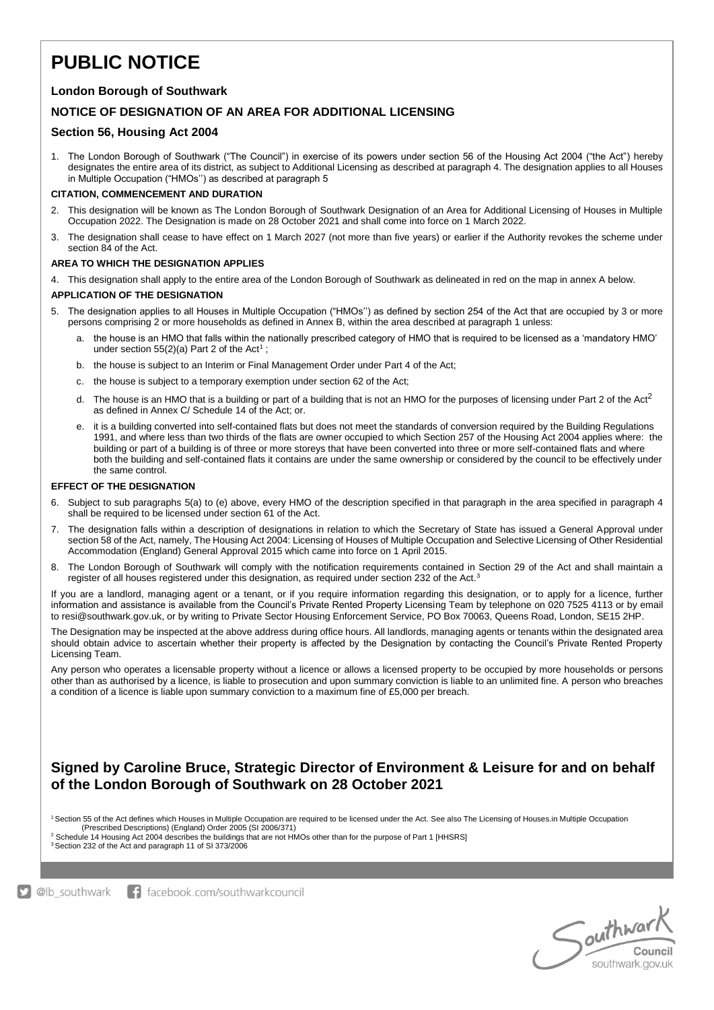# **PUBLIC NOTICE**

# **London Borough of Southwark**

# **NOTICE OF DESIGNATION OF AN AREA FOR ADDITIONAL LICENSING**

### **Section 56, Housing Act 2004**

1. The London Borough of Southwark ("The Council") in exercise of its powers under section 56 of the Housing Act 2004 ("the Act") hereby designates the entire area of its district, as subject to Additional Licensing as described at paragraph 4. The designation applies to all Houses in Multiple Occupation ("HMOs'') as described at paragraph 5

#### **CITATION, COMMENCEMENT AND DURATION**

- 2. This designation will be known as The London Borough of Southwark Designation of an Area for Additional Licensing of Houses in Multiple Occupation 2022. The Designation is made on 28 October 2021 and shall come into force on 1 March 2022.
- 3. The designation shall cease to have effect on 1 March 2027 (not more than five years) or earlier if the Authority revokes the scheme under section 84 of the Act.

#### **AREA TO WHICH THE DESIGNATION APPLIES**

4. This designation shall apply to the entire area of the London Borough of Southwark as delineated in red on the map in annex A below.

#### **APPLICATION OF THE DESIGNATION**

- 5. The designation applies to all Houses in Multiple Occupation ("HMOs'') as defined by section 254 of the Act that are occupied by 3 or more persons comprising 2 or more households as defined in Annex B, within the area described at paragraph 1 unless:
	- a. the house is an HMO that falls within the nationally prescribed category of HMO that is required to be licensed as a 'mandatory HMO' under section  $55(2)(a)$  Part 2 of the Act<sup>1</sup>;
	- b. the house is subject to an Interim or Final Management Order under Part 4 of the Act;
	- c. the house is subject to a temporary exemption under section 62 of the Act;
	- d. The house is an HMO that is a building or part of a building that is not an HMO for the purposes of licensing under Part 2 of the Act<sup>2</sup> as defined in Annex C/ Schedule 14 of the Act; or.
	- e. it is a building converted into self-contained flats but does not meet the standards of conversion required by the Building Regulations 1991, and where less than two thirds of the flats are owner occupied to which Section 257 of the Housing Act 2004 applies where: the building or part of a building is of three or more storeys that have been converted into three or more self-contained flats and where both the building and self-contained flats it contains are under the same ownership or considered by the council to be effectively under the same control.

#### **EFFECT OF THE DESIGNATION**

- 6. Subject to sub paragraphs 5(a) to (e) above, every HMO of the description specified in that paragraph in the area specified in paragraph 4 shall be required to be licensed under section 61 of the Act.
- 7. The designation falls within a description of designations in relation to which the Secretary of State has issued a General Approval under section 58 of the Act, namely, The Housing Act 2004: Licensing of Houses of Multiple Occupation and Selective Licensing of Other Residential Accommodation (England) General Approval 2015 which came into force on 1 April 2015.
- 8. The London Borough of Southwark will comply with the notification requirements contained in Section 29 of the Act and shall maintain a register of all houses registered under this designation, as required under section 232 of the Act.<sup>3</sup>

If you are a landlord, managing agent or a tenant, or if you require information regarding this designation, or to apply for a licence, further information and assistance is available from the Council's Private Rented Property Licensing Team by telephone on 020 7525 4113 or by email to resi@southwark.gov.uk, or by writing to Private Sector Housing Enforcement Service, PO Box 70063, Queens Road, London, SE15 2HP.

The Designation may be inspected at the above address during office hours. All landlords, managing agents or tenants within the designated area should obtain advice to ascertain whether their property is affected by the Designation by contacting the Council's Private Rented Property Licensing Team.

Any person who operates a licensable property without a licence or allows a licensed property to be occupied by more households or persons other than as authorised by a licence, is liable to prosecution and upon summary conviction is liable to an unlimited fine. A person who breaches a condition of a licence is liable upon summary conviction to a maximum fine of £5,000 per breach.

# **Signed by Caroline Bruce, Strategic Director of Environment & Leisure for and on behalf of the London Borough of Southwark on 28 October 2021**

<sup>1</sup>Section 55 of the Act defines which Houses in Multiple Occupation are required to be licensed under the Act. See also The Licensing of Houses.in Multiple Occupation (Prescribed Descriptions) (England) Order 2005 (SI 2006/371)

<sup>2</sup> Schedule 14 Housing Act 2004 describes the buildings that are not HMOs other than for the purpose of Part 1 [HHSRS]

3 Section 232 of the Act and paragraph 11 of SI 373/2006

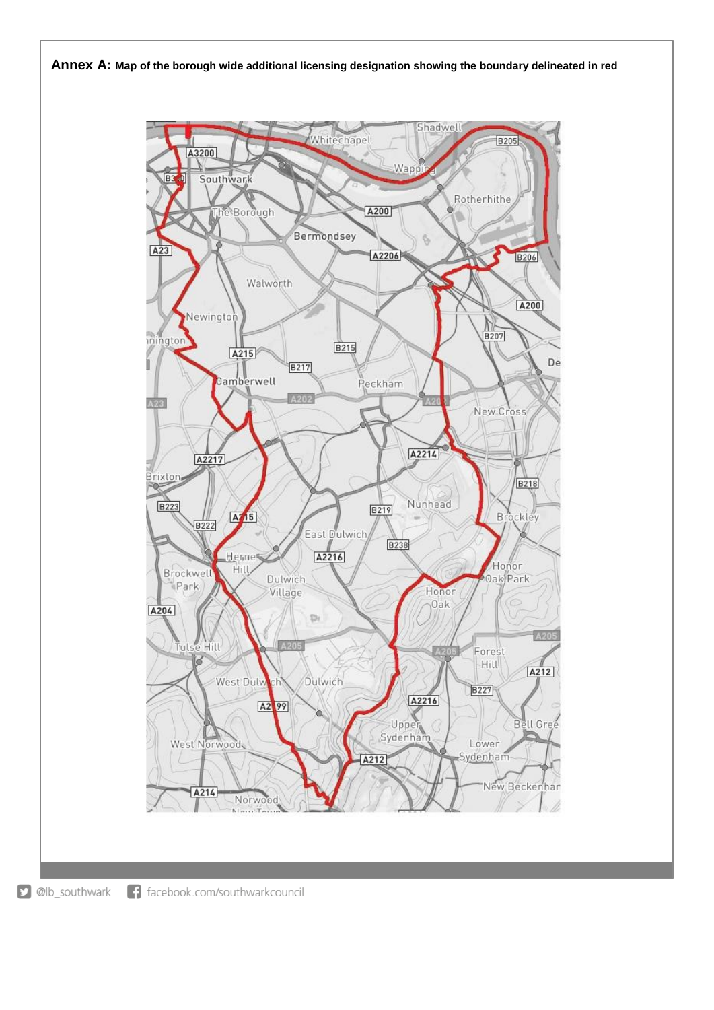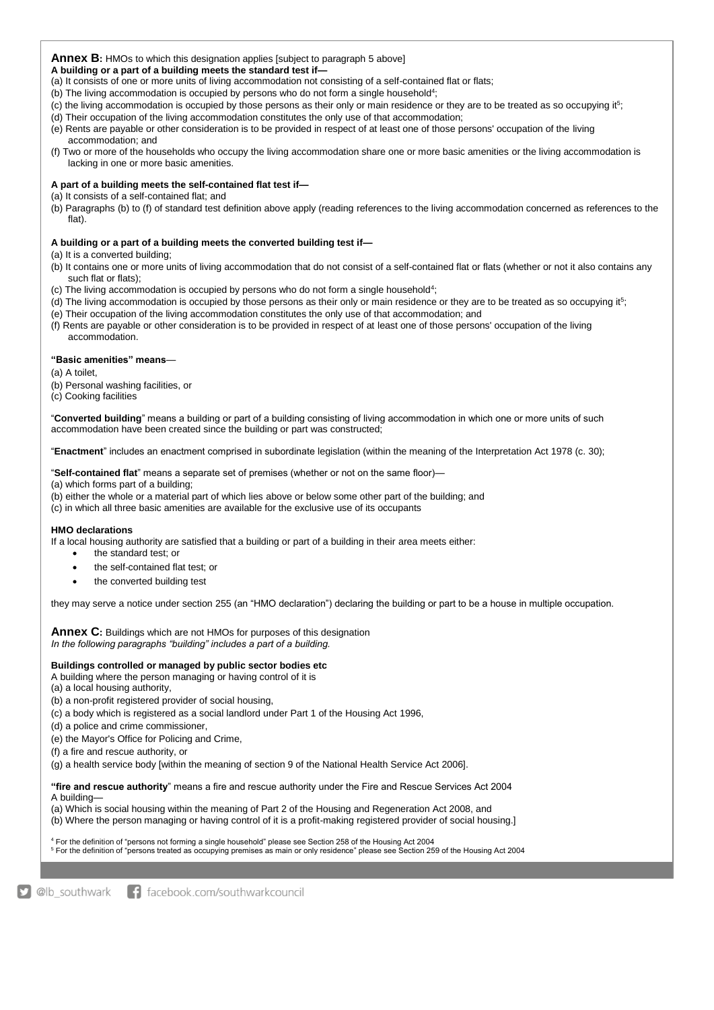#### **Annex B:** HMOs to which this designation applies [subject to paragraph 5 above]

**A building or a part of a building meets the standard test if—**

- (a) It consists of one or more units of living accommodation not consisting of a self-contained flat or flats;
- (b) The living accommodation is occupied by persons who do not form a single household<sup>4</sup>;
- (c) the living accommodation is occupied by those persons as their only or main residence or they are to be treated as so occupying it<sup>5</sup>;
- (d) Their occupation of the living accommodation constitutes the only use of that accommodation;
- (e) Rents are payable or other consideration is to be provided in respect of at least one of those persons' occupation of the living accommodation; and
- (f) Two or more of the households who occupy the living accommodation share one or more basic amenities or the living accommodation is lacking in one or more basic amenities.

#### **A part of a building meets the self-contained flat test if—**

(a) It consists of a self-contained flat; and

(b) Paragraphs (b) to (f) of standard test definition above apply (reading references to the living accommodation concerned as references to the flat).

#### **A building or a part of a building meets the converted building test if—**

(a) It is a converted building;

- (b) It contains one or more units of living accommodation that do not consist of a self-contained flat or flats (whether or not it also contains any such flat or flats);
- (c) The living accommodation is occupied by persons who do not form a single household<sup>4</sup>;
- (d) The living accommodation is occupied by those persons as their only or main residence or they are to be treated as so occupying it<sup>5</sup>;
- (e) Their occupation of the living accommodation constitutes the only use of that accommodation; and
- (f) Rents are payable or other consideration is to be provided in respect of at least one of those persons' occupation of the living accommodation.

#### **"Basic amenities" means**—

- (a) A toilet,
- (b) Personal washing facilities, or
- (c) Cooking facilities

"**Converted building**" means a building or part of a building consisting of living accommodation in which one or more units of such accommodation have been created since the building or part was constructed;

"**Enactment**" includes an enactment comprised in subordinate legislation (within the meaning of the Interpretation Act 1978 (c. 30);

"**Self-contained flat**" means a separate set of premises (whether or not on the same floor)—

(a) which forms part of a building;

(b) either the whole or a material part of which lies above or below some other part of the building; and

(c) in which all three basic amenities are available for the exclusive use of its occupants

#### **HMO declarations**

If a local housing authority are satisfied that a building or part of a building in their area meets either:

- the standard test; or
- the self-contained flat test; or
- the converted building test

they may serve a notice under section 255 (an "HMO declaration") declaring the building or part to be a house in multiple occupation.

**Annex C:** Buildings which are not HMOs for purposes of this designation *In the following paragraphs "building" includes a part of a building.* 

#### **Buildings controlled or managed by public sector bodies etc**

A building where the person managing or having control of it is

- (a) a local housing authority,
- (b) a non-profit registered provider of social housing,
- (c) a body which is registered as a social landlord under Part 1 of the Housing Act 1996,
- (d) a police and crime commissioner,
- (e) the Mayor's Office for Policing and Crime,
- (f) a fire and rescue authority, or

(g) a health service body [within the meaning of section 9 of the National Health Service Act 2006].

**"fire and rescue authority**" means a fire and rescue authority under the Fire and Rescue Services Act 2004 A building—

(a) Which is social housing within the meaning of Part 2 of the Housing and Regeneration Act 2008, and (b) Where the person managing or having control of it is a profit-making registered provider of social housing.]

<sup>4</sup> For the definition of "persons not forming a single household" please see Section 258 of the Housing Act 2004

<sup>5</sup> For the definition of "persons treated as occupying premises as main or only residence" please see Section 259 of the Housing Act 2004